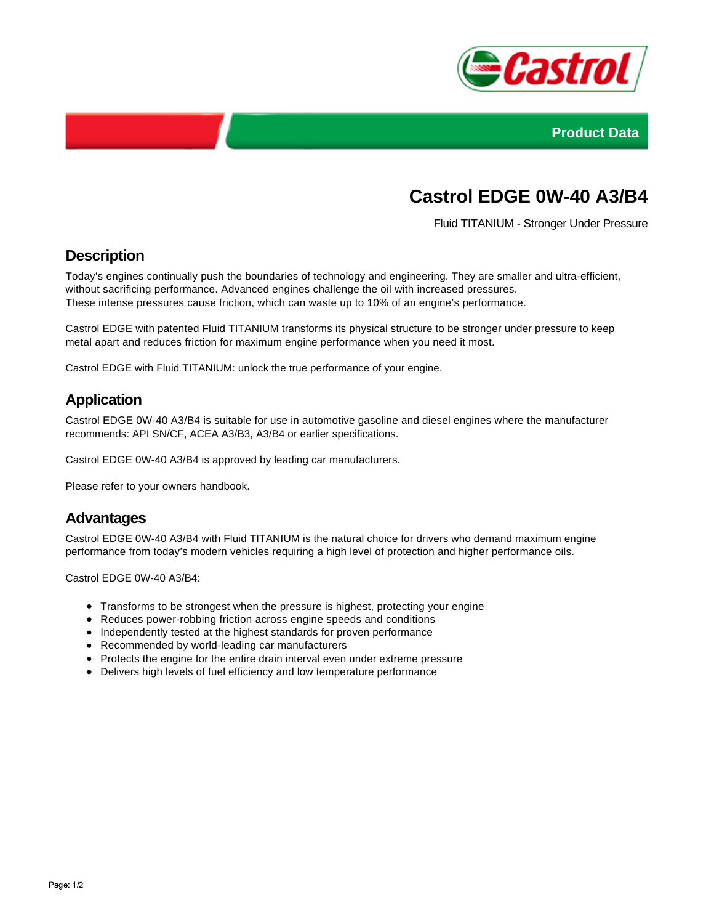



# **Castrol EDGE 0W-40 A3/B4**

Fluid TITANIUM - Stronger Under Pressure

## **Description**

Today's engines continually push the boundaries of technology and engineering. They are smaller and ultra-efficient, without sacrificing performance. Advanced engines challenge the oil with increased pressures. These intense pressures cause friction, which can waste up to 10% of an engine's performance.

Castrol EDGE with patented Fluid TITANIUM transforms its physical structure to be stronger under pressure to keep metal apart and reduces friction for maximum engine performance when you need it most.

Castrol EDGE with Fluid TITANIUM: unlock the true performance of your engine.

## **Application**

Castrol EDGE 0W-40 A3/B4 is suitable for use in automotive gasoline and diesel engines where the manufacturer recommends: API SN/CF, ACEA A3/B3, A3/B4 or earlier specifications.

Castrol EDGE 0W-40 A3/B4 is approved by leading car manufacturers.

Please refer to your owners handbook.

#### **Advantages**

Castrol EDGE 0W-40 A3/B4 with Fluid TITANIUM is the natural choice for drivers who demand maximum engine performance from today's modern vehicles requiring a high level of protection and higher performance oils.

Castrol EDGE 0W-40 A3/B4:

- Transforms to be strongest when the pressure is highest, protecting your engine
- Reduces power-robbing friction across engine speeds and conditions
- Independently tested at the highest standards for proven performance
- Recommended by world-leading car manufacturers
- Protects the engine for the entire drain interval even under extreme pressure
- Delivers high levels of fuel efficiency and low temperature performance